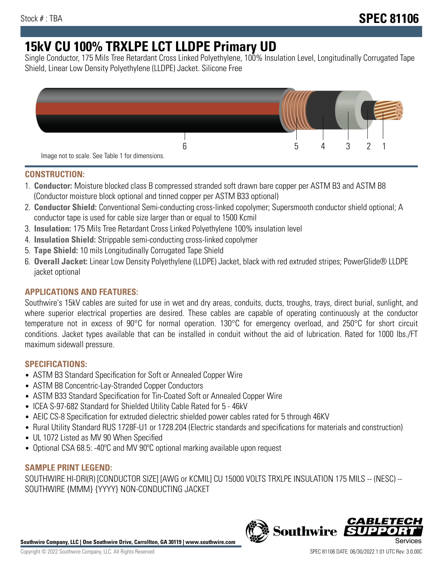# **15kV CU 100% TRXLPE LCT LLDPE Primary UD**

Single Conductor, 175 Mils Tree Retardant Cross Linked Polyethylene, 100% Insulation Level, Longitudinally Corrugated Tape Shield, Linear Low Density Polyethylene (LLDPE) Jacket. Silicone Free



## **CONSTRUCTION:**

- 1. **Conductor:** Moisture blocked class B compressed stranded soft drawn bare copper per ASTM B3 and ASTM B8 (Conductor moisture block optional and tinned copper per ASTM B33 optional)
- 2. **Conductor Shield:** Conventional Semi-conducting cross-linked copolymer; Supersmooth conductor shield optional; A conductor tape is used for cable size larger than or equal to 1500 Kcmil
- 3. **Insulation:** 175 Mils Tree Retardant Cross Linked Polyethylene 100% insulation level
- 4. **Insulation Shield:** Strippable semi-conducting cross-linked copolymer
- 5. **Tape Shield:** 10 mils Longitudinally Corrugated Tape Shield
- 6. **Overall Jacket:** Linear Low Density Polyethylene (LLDPE) Jacket, black with red extruded stripes; PowerGlide® LLDPE jacket optional

# **APPLICATIONS AND FEATURES:**

Southwire's 15kV cables are suited for use in wet and dry areas, conduits, ducts, troughs, trays, direct burial, sunlight, and where superior electrical properties are desired. These cables are capable of operating continuously at the conductor temperature not in excess of 90°C for normal operation. 130°C for emergency overload, and 250°C for short circuit conditions. Jacket types available that can be installed in conduit without the aid of lubrication. Rated for 1000 lbs./FT maximum sidewall pressure.

# **SPECIFICATIONS:**

- ASTM B3 Standard Specification for Soft or Annealed Copper Wire
- ASTM B8 Concentric-Lay-Stranded Copper Conductors
- ASTM B33 Standard Specification for Tin-Coated Soft or Annealed Copper Wire
- ICEA S-97-682 Standard for Shielded Utility Cable Rated for 5 46kV
- AEIC CS-8 Specification for extruded dielectric shielded power cables rated for 5 through 46KV
- Rural Utility Standard RUS 1728F-U1 or 1728.204 (Electric standards and specifications for materials and construction)
- UL 1072 Listed as MV 90 When Specified
- Optional CSA 68.5: -40ºC and MV 90ºC optional marking available upon request

## **SAMPLE PRINT LEGEND:**

SOUTHWIRE HI-DRI(R) [CONDUCTOR SIZE] [AWG or KCMIL] CU 15000 VOLTS TRXLPE INSULATION 175 MILS -- (NESC) -- SOUTHWIRE {MMM} {YYYY} NON-CONDUCTING JACKET

**Southwire Company, LLC | One Southwire Drive, Carrollton, GA 30119 | www.southwire.com**

*CABLE*